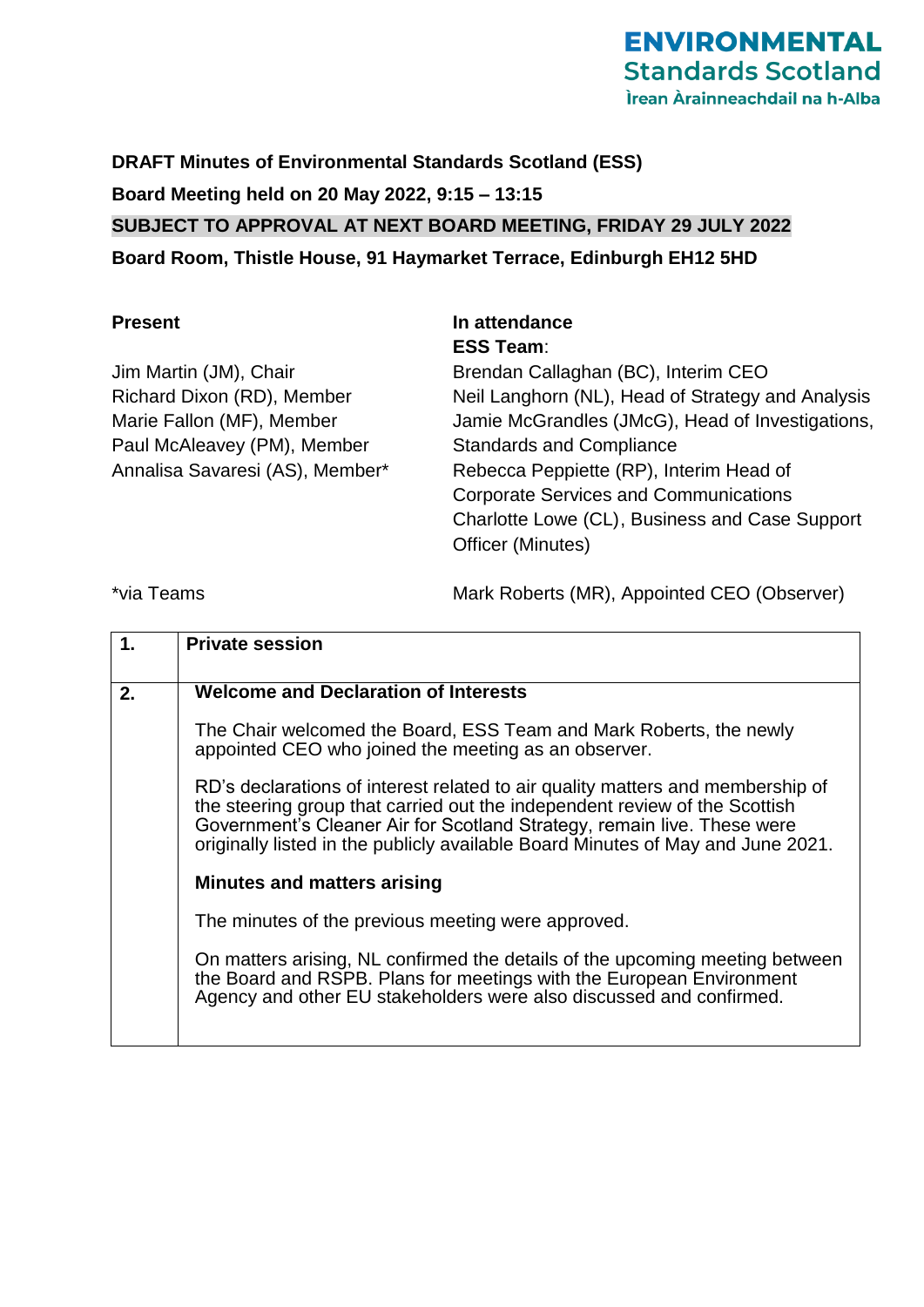**DRAFT Minutes of Environmental Standards Scotland (ESS) Board Meeting held on 20 May 2022, 9:15 – 13:15 SUBJECT TO APPROVAL AT NEXT BOARD MEETING, FRIDAY 29 JULY 2022 Board Room, Thistle House, 91 Haymarket Terrace, Edinburgh EH12 5HD**

Jim Martin (JM), Chair Richard Dixon (RD), Member Marie Fallon (MF), Member Paul McAleavey (PM), Member Annalisa Savaresi (AS), Member\*

## **Present In attendance ESS Team**:

Brendan Callaghan (BC), Interim CEO Neil Langhorn (NL), Head of Strategy and Analysis Jamie McGrandles (JMcG), Head of Investigations, Standards and Compliance Rebecca Peppiette (RP), Interim Head of Corporate Services and Communications Charlotte Lowe (CL), Business and Case Support Officer (Minutes)

\*via Teams

Mark Roberts (MR), Appointed CEO (Observer)

| 1. | <b>Private session</b>                                                                                                                                                                                                                                                                                                     |
|----|----------------------------------------------------------------------------------------------------------------------------------------------------------------------------------------------------------------------------------------------------------------------------------------------------------------------------|
|    |                                                                                                                                                                                                                                                                                                                            |
| 2. | <b>Welcome and Declaration of Interests</b>                                                                                                                                                                                                                                                                                |
|    | The Chair welcomed the Board, ESS Team and Mark Roberts, the newly<br>appointed CEO who joined the meeting as an observer.                                                                                                                                                                                                 |
|    | RD's declarations of interest related to air quality matters and membership of<br>the steering group that carried out the independent review of the Scottish<br>Government's Cleaner Air for Scotland Strategy, remain live. These were<br>originally listed in the publicly available Board Minutes of May and June 2021. |
|    | Minutes and matters arising                                                                                                                                                                                                                                                                                                |
|    | The minutes of the previous meeting were approved.                                                                                                                                                                                                                                                                         |
|    | On matters arising, NL confirmed the details of the upcoming meeting between<br>the Board and RSPB. Plans for meetings with the European Environment<br>Agency and other EU stakeholders were also discussed and confirmed.                                                                                                |
|    |                                                                                                                                                                                                                                                                                                                            |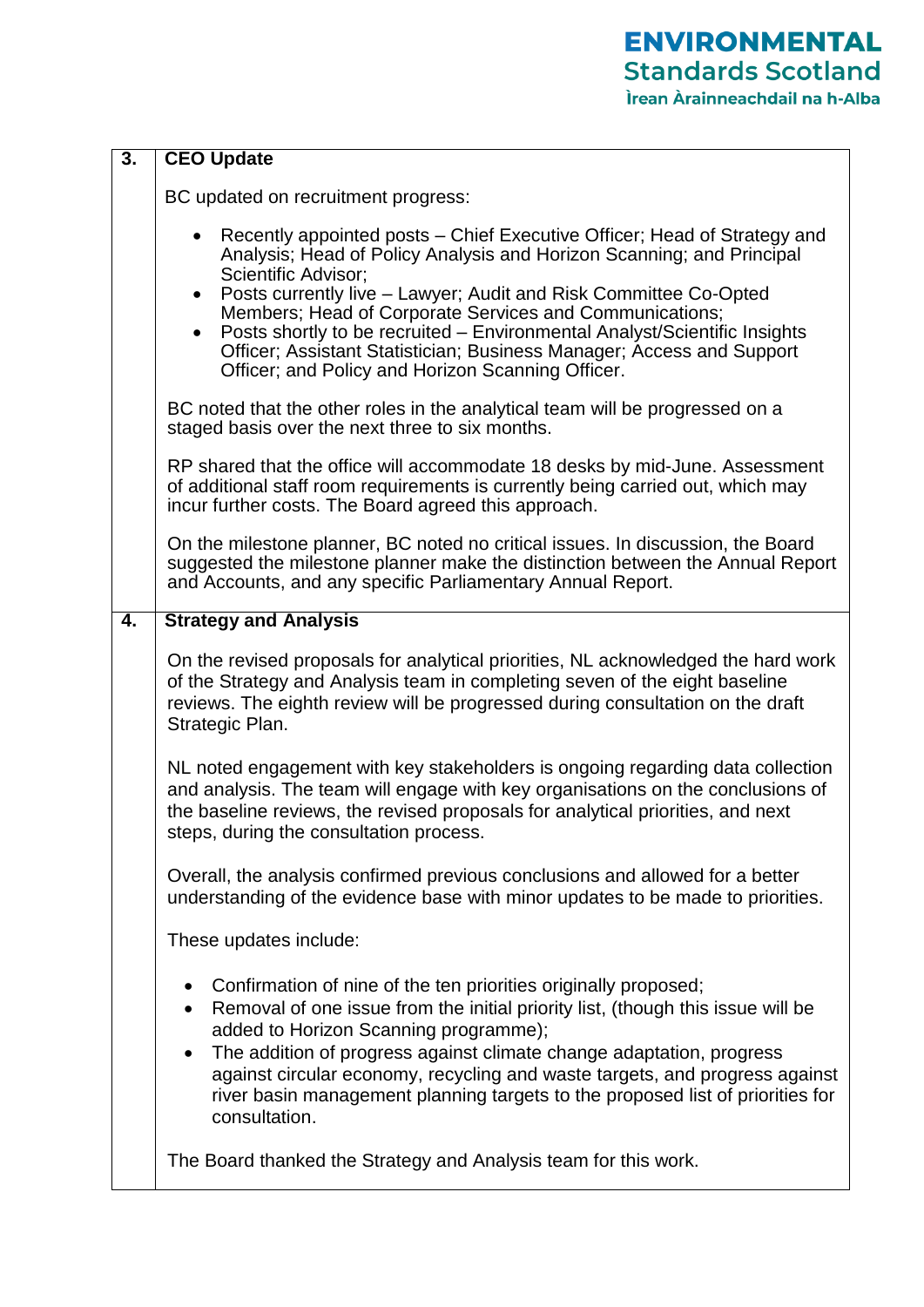| $\overline{3}$ . | <b>CEO Update</b>                                                                                                                                                                                                                                                                                                                                                                                                                                                                                                                            |
|------------------|----------------------------------------------------------------------------------------------------------------------------------------------------------------------------------------------------------------------------------------------------------------------------------------------------------------------------------------------------------------------------------------------------------------------------------------------------------------------------------------------------------------------------------------------|
|                  | BC updated on recruitment progress:                                                                                                                                                                                                                                                                                                                                                                                                                                                                                                          |
|                  | Recently appointed posts – Chief Executive Officer; Head of Strategy and<br>Analysis; Head of Policy Analysis and Horizon Scanning; and Principal<br>Scientific Advisor;<br>Posts currently live - Lawyer; Audit and Risk Committee Co-Opted<br>$\bullet$<br>Members; Head of Corporate Services and Communications;<br>Posts shortly to be recruited – Environmental Analyst/Scientific Insights<br>$\bullet$<br>Officer; Assistant Statistician; Business Manager; Access and Support<br>Officer; and Policy and Horizon Scanning Officer. |
|                  | BC noted that the other roles in the analytical team will be progressed on a<br>staged basis over the next three to six months.                                                                                                                                                                                                                                                                                                                                                                                                              |
|                  | RP shared that the office will accommodate 18 desks by mid-June. Assessment<br>of additional staff room requirements is currently being carried out, which may<br>incur further costs. The Board agreed this approach.                                                                                                                                                                                                                                                                                                                       |
|                  | On the milestone planner, BC noted no critical issues. In discussion, the Board<br>suggested the milestone planner make the distinction between the Annual Report<br>and Accounts, and any specific Parliamentary Annual Report.                                                                                                                                                                                                                                                                                                             |
| 4.               | <b>Strategy and Analysis</b>                                                                                                                                                                                                                                                                                                                                                                                                                                                                                                                 |
|                  | On the revised proposals for analytical priorities, NL acknowledged the hard work<br>of the Strategy and Analysis team in completing seven of the eight baseline<br>reviews. The eighth review will be progressed during consultation on the draft<br>Strategic Plan.                                                                                                                                                                                                                                                                        |
|                  | NL noted engagement with key stakeholders is ongoing regarding data collection<br>and analysis. The team will engage with key organisations on the conclusions of<br>the baseline reviews, the revised proposals for analytical priorities, and next<br>steps, during the consultation process.                                                                                                                                                                                                                                              |
|                  | Overall, the analysis confirmed previous conclusions and allowed for a better<br>understanding of the evidence base with minor updates to be made to priorities.                                                                                                                                                                                                                                                                                                                                                                             |
|                  | These updates include:                                                                                                                                                                                                                                                                                                                                                                                                                                                                                                                       |
|                  | Confirmation of nine of the ten priorities originally proposed;<br>$\bullet$<br>Removal of one issue from the initial priority list, (though this issue will be<br>$\bullet$<br>added to Horizon Scanning programme);<br>The addition of progress against climate change adaptation, progress<br>$\bullet$<br>against circular economy, recycling and waste targets, and progress against<br>river basin management planning targets to the proposed list of priorities for<br>consultation.                                                 |
|                  | The Board thanked the Strategy and Analysis team for this work.                                                                                                                                                                                                                                                                                                                                                                                                                                                                              |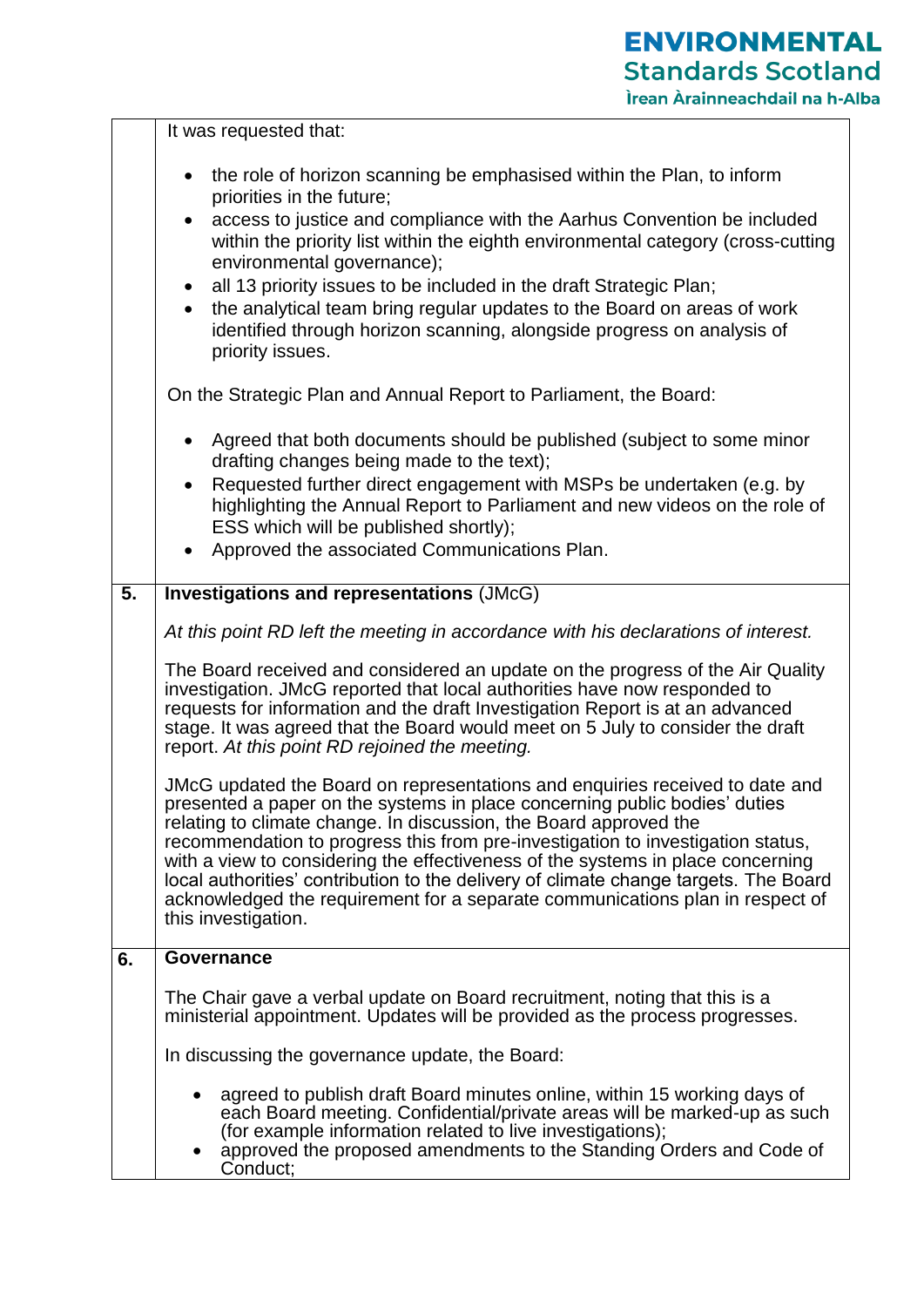|                  | It was requested that:                                                                                                                                                                                                                                                                                                                                                                                                                                                                                                                                                                                                                                                                                                                                                                                                                                                                                                                                                                                |
|------------------|-------------------------------------------------------------------------------------------------------------------------------------------------------------------------------------------------------------------------------------------------------------------------------------------------------------------------------------------------------------------------------------------------------------------------------------------------------------------------------------------------------------------------------------------------------------------------------------------------------------------------------------------------------------------------------------------------------------------------------------------------------------------------------------------------------------------------------------------------------------------------------------------------------------------------------------------------------------------------------------------------------|
|                  | the role of horizon scanning be emphasised within the Plan, to inform<br>priorities in the future;<br>access to justice and compliance with the Aarhus Convention be included<br>$\bullet$<br>within the priority list within the eighth environmental category (cross-cutting<br>environmental governance);<br>all 13 priority issues to be included in the draft Strategic Plan;<br>the analytical team bring regular updates to the Board on areas of work<br>identified through horizon scanning, alongside progress on analysis of<br>priority issues.<br>On the Strategic Plan and Annual Report to Parliament, the Board:<br>Agreed that both documents should be published (subject to some minor<br>drafting changes being made to the text);<br>Requested further direct engagement with MSPs be undertaken (e.g. by<br>highlighting the Annual Report to Parliament and new videos on the role of<br>ESS which will be published shortly);<br>Approved the associated Communications Plan. |
| $\overline{5}$ . | <b>Investigations and representations (JMcG)</b>                                                                                                                                                                                                                                                                                                                                                                                                                                                                                                                                                                                                                                                                                                                                                                                                                                                                                                                                                      |
|                  | At this point RD left the meeting in accordance with his declarations of interest.                                                                                                                                                                                                                                                                                                                                                                                                                                                                                                                                                                                                                                                                                                                                                                                                                                                                                                                    |
|                  | The Board received and considered an update on the progress of the Air Quality<br>investigation. JMcG reported that local authorities have now responded to<br>requests for information and the draft Investigation Report is at an advanced<br>stage. It was agreed that the Board would meet on 5 July to consider the draft<br>report. At this point RD rejoined the meeting.                                                                                                                                                                                                                                                                                                                                                                                                                                                                                                                                                                                                                      |
|                  | JMcG updated the Board on representations and enquiries received to date and<br>presented a paper on the systems in place concerning public bodies' duties<br>relating to climate change. In discussion, the Board approved the<br>recommendation to progress this from pre-investigation to investigation status,<br>with a view to considering the effectiveness of the systems in place concerning<br>local authorities' contribution to the delivery of climate change targets. The Board<br>acknowledged the requirement for a separate communications plan in respect of<br>this investigation.                                                                                                                                                                                                                                                                                                                                                                                                 |
| 6.               | Governance                                                                                                                                                                                                                                                                                                                                                                                                                                                                                                                                                                                                                                                                                                                                                                                                                                                                                                                                                                                            |
|                  | The Chair gave a verbal update on Board recruitment, noting that this is a<br>ministerial appointment. Updates will be provided as the process progresses.<br>In discussing the governance update, the Board:<br>agreed to publish draft Board minutes online, within 15 working days of<br>each Board meeting. Confidential/private areas will be marked-up as such<br>(for example information related to live investigations);<br>approved the proposed amendments to the Standing Orders and Code of                                                                                                                                                                                                                                                                                                                                                                                                                                                                                              |
|                  | Conduct;                                                                                                                                                                                                                                                                                                                                                                                                                                                                                                                                                                                                                                                                                                                                                                                                                                                                                                                                                                                              |